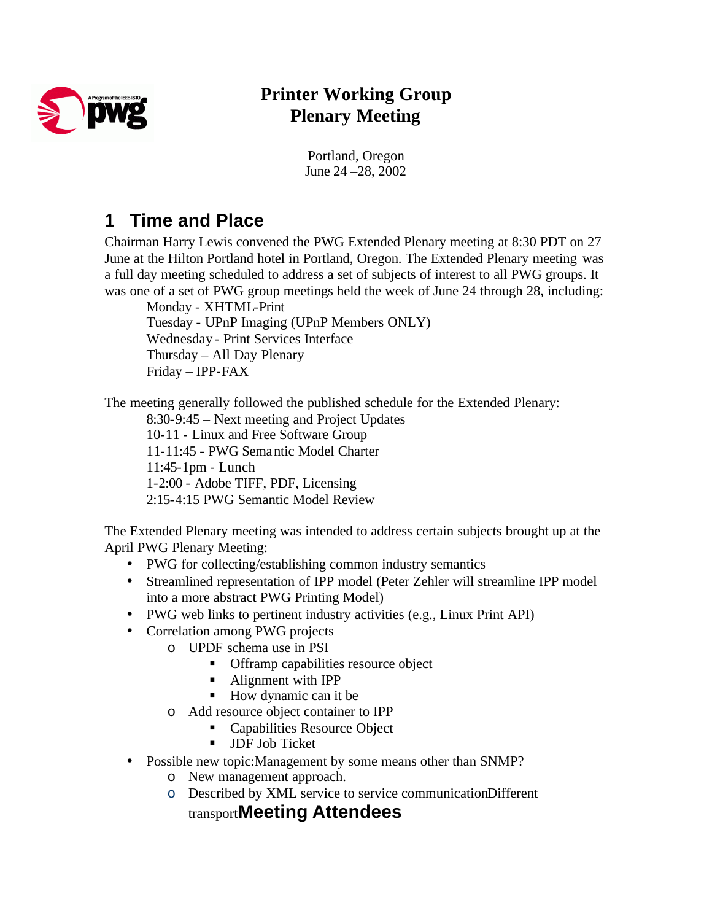

# **Printer Working Group Plenary Meeting**

Portland, Oregon June 24 –28, 2002

# **1 Time and Place**

Chairman Harry Lewis convened the PWG Extended Plenary meeting at 8:30 PDT on 27 June at the Hilton Portland hotel in Portland, Oregon. The Extended Plenary meeting was a full day meeting scheduled to address a set of subjects of interest to all PWG groups. It was one of a set of PWG group meetings held the week of June 24 through 28, including:

Monday - XHTML-Print Tuesday - UPnP Imaging (UPnP Members ONLY) Wednesday - Print Services Interface Thursday – All Day Plenary Friday – IPP-FAX

The meeting generally followed the published schedule for the Extended Plenary:

8:30-9:45 – Next meeting and Project Updates 10-11 - Linux and Free Software Group 11-11:45 - PWG Semantic Model Charter 11:45-1pm - Lunch 1-2:00 - Adobe TIFF, PDF, Licensing 2:15-4:15 PWG Semantic Model Review

The Extended Plenary meeting was intended to address certain subjects brought up at the April PWG Plenary Meeting:

- PWG for collecting/establishing common industry semantics
- Streamlined representation of IPP model (Peter Zehler will streamline IPP model into a more abstract PWG Printing Model)
- PWG web links to pertinent industry activities (e.g., Linux Print API)
- Correlation among PWG projects
	- o UPDF schema use in PSI
		- **•** Offramp capabilities resource object
		- Alignment with IPP
		- $\blacksquare$  How dynamic can it be
	- o Add resource object container to IPP
		- Capabilities Resource Object
		- **JDF Job Ticket**
- Possible new topic: Management by some means other than SNMP?
	- o New management approach.
	- o Described by XML service to service communicationDifferent

transport**Meeting Attendees**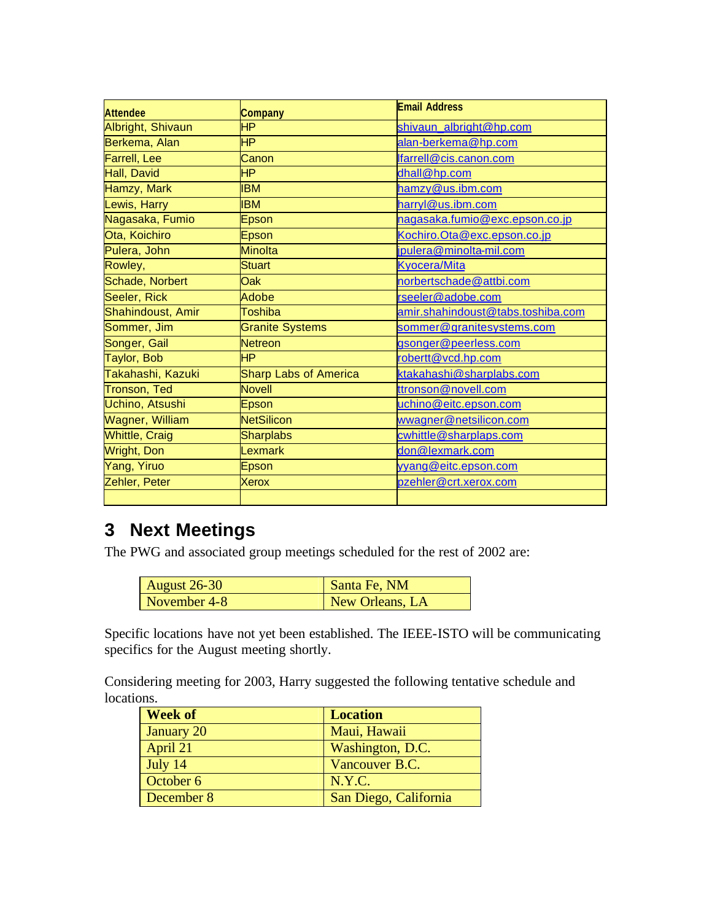| <b>Attendee</b>        | <b>Company</b>         | <b>Email Address</b>              |
|------------------------|------------------------|-----------------------------------|
| Albright, Shivaun      | HP.                    | shivaun albright@hp.com           |
| Berkema, Alan          | <b>HP</b>              | alan-berkema@hp.com               |
| Farrell, Lee           | Canon                  | lfarrell@cis.canon.com            |
| Hall, David            | <b>HP</b>              | dhall@hp.com                      |
| Hamzy, Mark            | <b>BM</b>              | hamzy@us.ibm.com                  |
| Lewis, Harry           | <b>IBM</b>             | harryl@us.ibm.com                 |
| Nagasaka, Fumio        | Epson                  | nagasaka.fumio@exc.epson.co.jp    |
| Ota, Koichiro          | Epson                  | Kochiro. Ota@exc.epson.co.jp      |
| Pulera, John           | Minolta                | jpulera@minolta-mil.com           |
| Rowley,                | <b>Stuart</b>          | <b>Kyocera/Mita</b>               |
| Schade, Norbert        | Oak                    | norbertschade@attbi.com           |
| Seeler, Rick           | Adobe                  | rseeler@adobe.com                 |
| Shahindoust, Amir      | Toshiba                | amir.shahindoust@tabs.toshiba.com |
| Sommer, Jim            | <b>Granite Systems</b> | sommer@granitesystems.com         |
| Songer, Gail           | <b>Netreon</b>         | gsonger@peerless.com              |
| Taylor, Bob            | <b>HP</b>              | robertt@vcd.hp.com                |
| Takahashi, Kazuki      | Sharp Labs of America  | ktakahashi@sharplabs.com          |
| <b>Tronson, Ted</b>    | <b>Novell</b>          | ttronson@novell.com               |
| Uchino, Atsushi        | Epson                  | uchino@eitc.epson.com             |
| <b>Wagner, William</b> | <b>NetSilicon</b>      | wwagner@netsilicon.com            |
| <b>Whittle, Craig</b>  | <b>Sharplabs</b>       | cwhittle@sharplaps.com            |
| <b>Wright, Don</b>     | Lexmark                | don@lexmark.com                   |
| Yang, Yiruo            | Epson                  | yyang@eitc.epson.com              |
| Zehler, Peter          | <b>Xerox</b>           | pzehler@crt.xerox.com             |
|                        |                        |                                   |

# **3 Next Meetings**

The PWG and associated group meetings scheduled for the rest of 2002 are:

| August $26-30$ | Santa Fe, NM    |
|----------------|-----------------|
| November 4-8   | New Orleans, LA |

Specific locations have not yet been established. The IEEE-ISTO will be communicating specifics for the August meeting shortly.

Considering meeting for 2003, Harry suggested the following tentative schedule and locations.

| <b>Week of</b> | <b>Location</b>       |
|----------------|-----------------------|
| January 20     | Maui, Hawaii          |
| April 21       | Washington, D.C.      |
| July 14        | Vancouver B.C.        |
| October 6      | N.Y.C.                |
| December 8     | San Diego, California |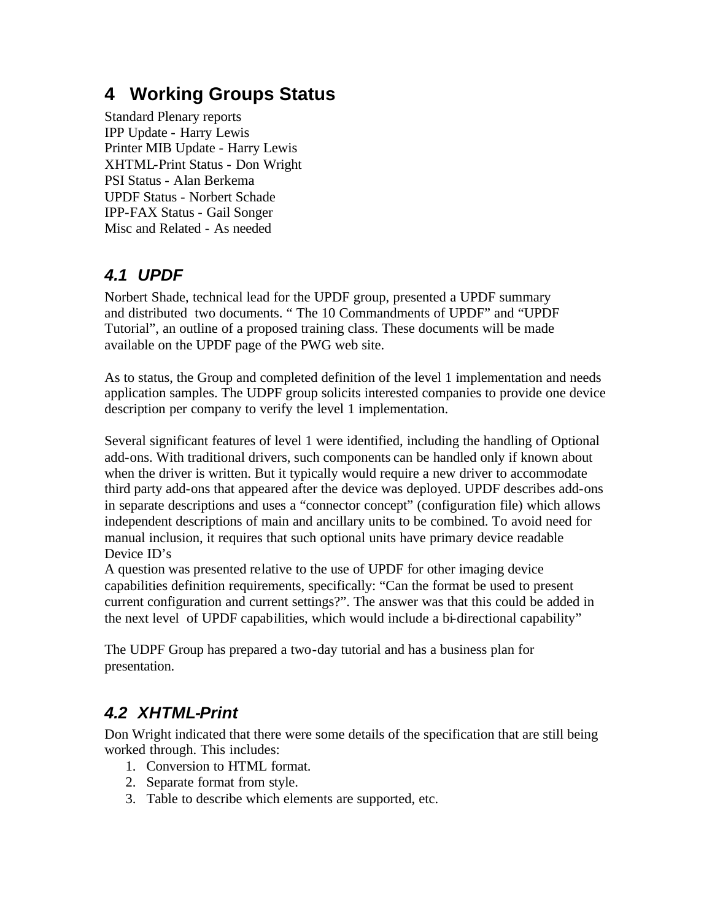# **4 Working Groups Status**

Standard Plenary reports IPP Update - Harry Lewis Printer MIB Update - Harry Lewis XHTML-Print Status - Don Wright PSI Status - Alan Berkema UPDF Status - Norbert Schade IPP-FAX Status - Gail Songer Misc and Related - As needed

### *4.1 UPDF*

Norbert Shade, technical lead for the UPDF group, presented a UPDF summary and distributed two documents. " The 10 Commandments of UPDF" and "UPDF Tutorial", an outline of a proposed training class. These documents will be made available on the UPDF page of the PWG web site.

As to status, the Group and completed definition of the level 1 implementation and needs application samples. The UDPF group solicits interested companies to provide one device description per company to verify the level 1 implementation.

Several significant features of level 1 were identified, including the handling of Optional add-ons. With traditional drivers, such components can be handled only if known about when the driver is written. But it typically would require a new driver to accommodate third party add-ons that appeared after the device was deployed. UPDF describes add-ons in separate descriptions and uses a "connector concept" (configuration file) which allows independent descriptions of main and ancillary units to be combined. To avoid need for manual inclusion, it requires that such optional units have primary device readable Device ID's

A question was presented relative to the use of UPDF for other imaging device capabilities definition requirements, specifically: "Can the format be used to present current configuration and current settings?". The answer was that this could be added in the next level of UPDF capabilities, which would include a bi-directional capability"

The UDPF Group has prepared a two-day tutorial and has a business plan for presentation.

### *4.2 XHTML-Print*

Don Wright indicated that there were some details of the specification that are still being worked through. This includes:

- 1. Conversion to HTML format.
- 2. Separate format from style.
- 3. Table to describe which elements are supported, etc.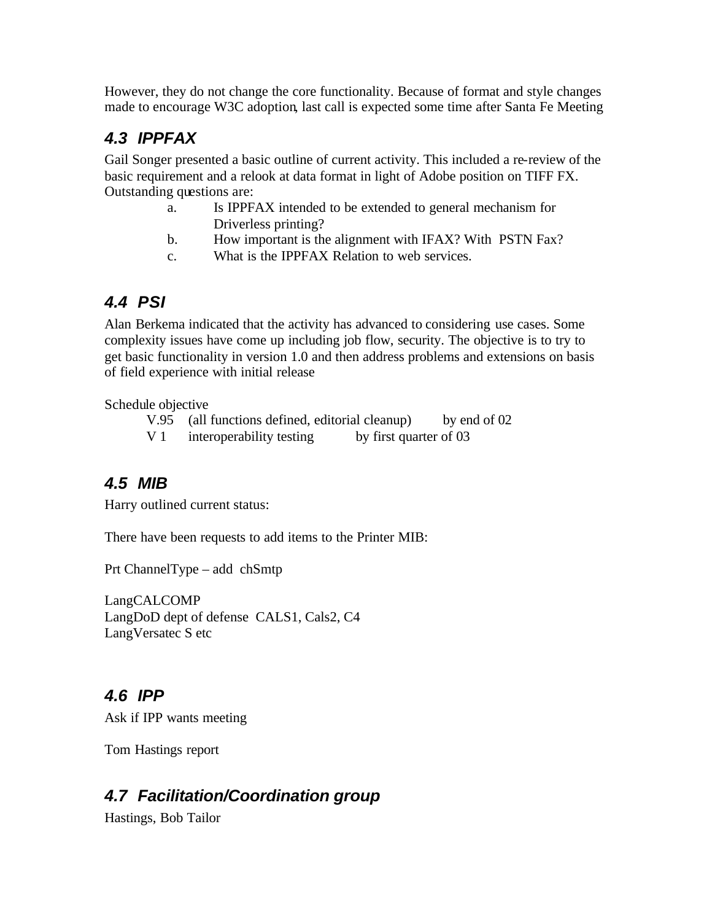However, they do not change the core functionality. Because of format and style changes made to encourage W3C adoption, last call is expected some time after Santa Fe Meeting

## *4.3 IPPFAX*

Gail Songer presented a basic outline of current activity. This included a re-review of the basic requirement and a relook at data format in light of Adobe position on TIFF FX. Outstanding questions are:

- a. Is IPPFAX intended to be extended to general mechanism for Driverless printing?
- b. How important is the alignment with IFAX? With PSTN Fax?
- c. What is the IPPFAX Relation to web services.

## *4.4 PSI*

Alan Berkema indicated that the activity has advanced to considering use cases. Some complexity issues have come up including job flow, security. The objective is to try to get basic functionality in version 1.0 and then address problems and extensions on basis of field experience with initial release

Schedule objective

- V.95 (all functions defined, editorial cleanup) by end of 02
- V 1 interoperability testing by first quarter of 03

### *4.5 MIB*

Harry outlined current status:

There have been requests to add items to the Printer MIB:

Prt ChannelType – add chSmtp

LangCALCOMP LangDoD dept of defense CALS1, Cals2, C4 LangVersatec S etc

### *4.6 IPP*

Ask if IPP wants meeting

Tom Hastings report

# *4.7 Facilitation/Coordination group*

Hastings, Bob Tailor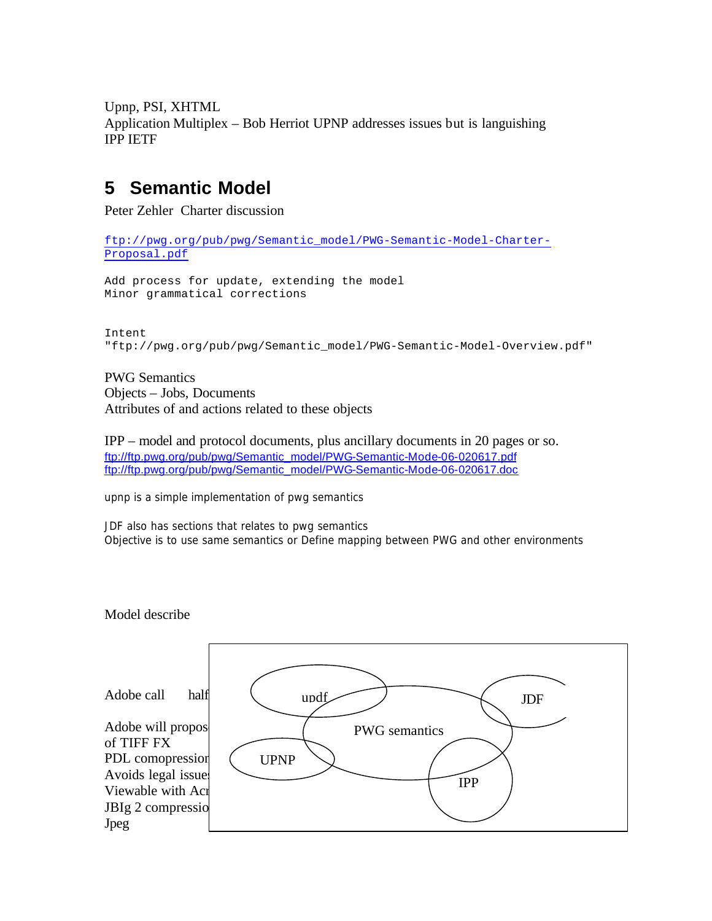Upnp, PSI, XHTML Application Multiplex – Bob Herriot UPNP addresses issues but is languishing IPP IETF

# **5 Semantic Model**

Peter Zehler Charter discussion

```
ftp://pwg.org/pub/pwg/Semantic_model/PWG-Semantic-Model-Charter-
Proposal.pdf
```

```
Add process for update, extending the model
Minor grammatical corrections
```

```
Intent
"ftp://pwg.org/pub/pwg/Semantic_model/PWG-Semantic-Model-Overview.pdf"
```
PWG Semantics Objects – Jobs, Documents Attributes of and actions related to these objects

IPP – model and protocol documents, plus ancillary documents in 20 pages or so. ftp://ftp.pwg.org/pub/pwg/Semantic\_model/PWG-Semantic-Mode-06-020617.pdf ftp://ftp.pwg.org/pub/pwg/Semantic\_model/PWG-Semantic-Mode-06-020617.doc

upnp is a simple implementation of pwg semantics

JDF also has sections that relates to pwg semantics Objective is to use same semantics or Define mapping between PWG and other environments

Model describe

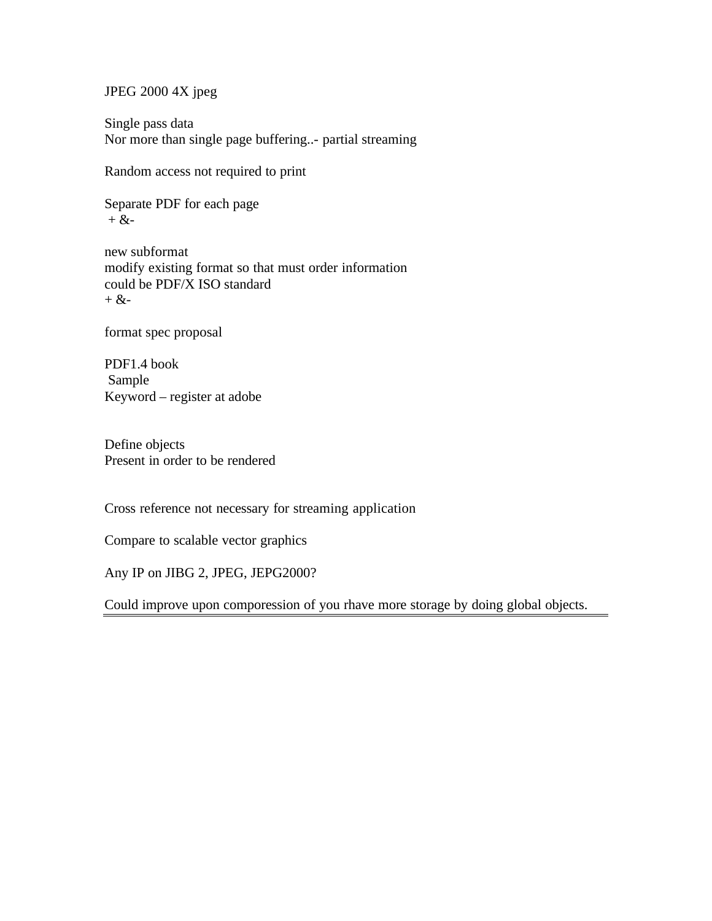JPEG 2000 4X jpeg

Single pass data Nor more than single page buffering..- partial streaming

Random access not required to print

Separate PDF for each page  $+$  &-

new subformat modify existing format so that must order information could be PDF/X ISO standard  $+$  &-

format spec proposal

PDF1.4 book Sample Keyword – register at adobe

Define objects Present in order to be rendered

Cross reference not necessary for streaming application

Compare to scalable vector graphics

Any IP on JIBG 2, JPEG, JEPG2000?

Could improve upon comporession of you rhave more storage by doing global objects.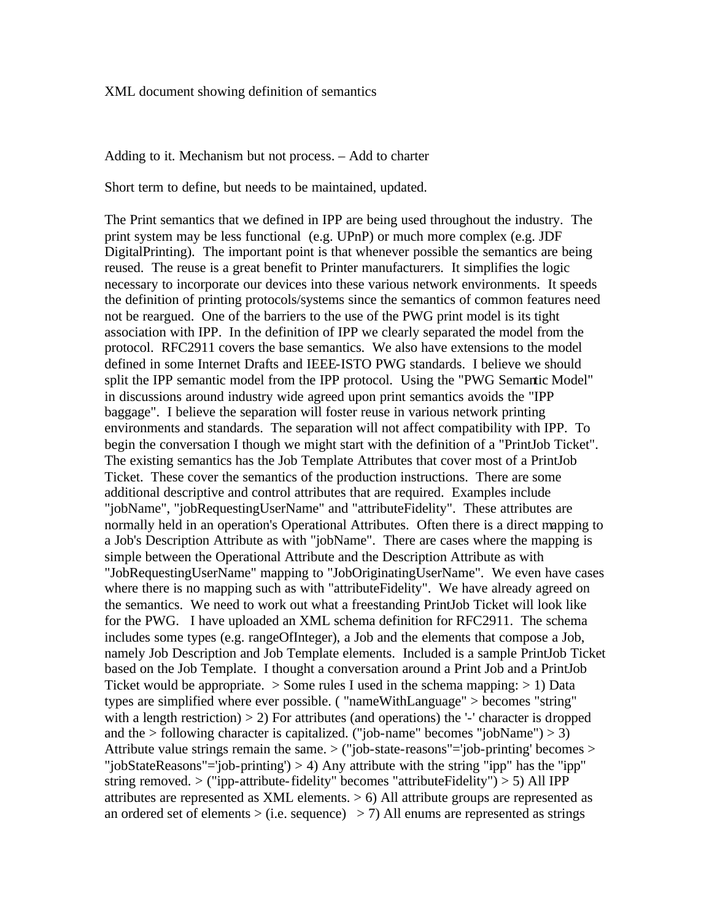#### XML document showing definition of semantics

#### Adding to it. Mechanism but not process. – Add to charter

Short term to define, but needs to be maintained, updated.

The Print semantics that we defined in IPP are being used throughout the industry. The print system may be less functional (e.g. UPnP) or much more complex (e.g. JDF DigitalPrinting). The important point is that whenever possible the semantics are being reused. The reuse is a great benefit to Printer manufacturers. It simplifies the logic necessary to incorporate our devices into these various network environments. It speeds the definition of printing protocols/systems since the semantics of common features need not be reargued. One of the barriers to the use of the PWG print model is its tight association with IPP. In the definition of IPP we clearly separated the model from the protocol. RFC2911 covers the base semantics. We also have extensions to the model defined in some Internet Drafts and IEEE-ISTO PWG standards. I believe we should split the IPP semantic model from the IPP protocol. Using the "PWG Semantic Model" in discussions around industry wide agreed upon print semantics avoids the "IPP baggage". I believe the separation will foster reuse in various network printing environments and standards. The separation will not affect compatibility with IPP. To begin the conversation I though we might start with the definition of a "PrintJob Ticket". The existing semantics has the Job Template Attributes that cover most of a PrintJob Ticket. These cover the semantics of the production instructions. There are some additional descriptive and control attributes that are required. Examples include "jobName", "jobRequestingUserName" and "attributeFidelity". These attributes are normally held in an operation's Operational Attributes. Often there is a direct mapping to a Job's Description Attribute as with "jobName". There are cases where the mapping is simple between the Operational Attribute and the Description Attribute as with "JobRequestingUserName" mapping to "JobOriginatingUserName". We even have cases where there is no mapping such as with "attributeFidelity". We have already agreed on the semantics. We need to work out what a freestanding PrintJob Ticket will look like for the PWG. I have uploaded an XML schema definition for RFC2911. The schema includes some types (e.g. rangeOfInteger), a Job and the elements that compose a Job, namely Job Description and Job Template elements. Included is a sample PrintJob Ticket based on the Job Template. I thought a conversation around a Print Job and a PrintJob Ticket would be appropriate.  $\geq$  Some rules I used in the schema mapping:  $\geq$  1) Data types are simplified where ever possible. ( "nameWithLanguage" > becomes "string" with a length restriction)  $> 2$ ) For attributes (and operations) the  $-$  character is dropped and the  $>$  following character is capitalized. ("job-name" becomes "jobName")  $>$  3) Attribute value strings remain the same. > ("job-state-reasons"='job-printing' becomes > "jobStateReasons"='job-printing') > 4) Any attribute with the string "ipp" has the "ipp" string removed.  $>$  ("ipp-attribute-fidelity" becomes "attribute Fidelity")  $>$  5) All IPP attributes are represented as XML elements.  $> 6$ ) All attribute groups are represented as an ordered set of elements  $>(i.e. sequence) > 7$ ) All enums are represented as strings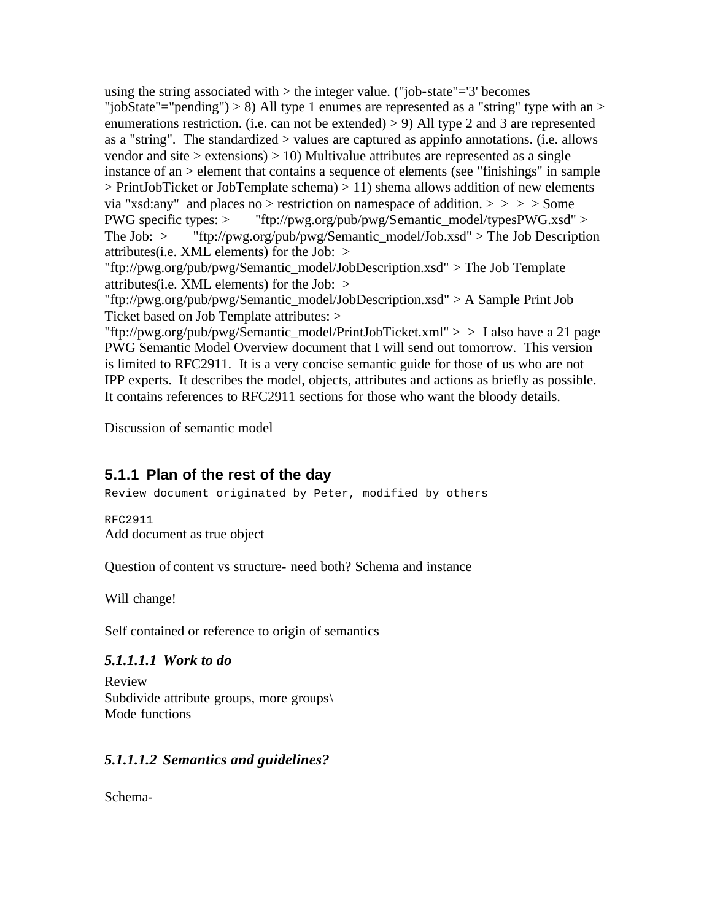using the string associated with  $>$  the integer value. ("job-state"= $3'$  becomes "jobState"="pending") > 8) All type 1 enumes are represented as a "string" type with an > enumerations restriction. (i.e. can not be extended)  $> 9$ ) All type 2 and 3 are represented as a "string". The standardized > values are captured as appinfo annotations. (i.e. allows vendor and site  $>$  extensions)  $>$  10) Multivalue attributes are represented as a single instance of an > element that contains a sequence of elements (see "finishings" in sample  $>$  PrintJobTicket or JobTemplate schema)  $>$  11) shema allows addition of new elements via "xsd:any" and places no > restriction on namespace of addition. > > > > Some PWG specific types: > "ftp://pwg.org/pub/pwg/Semantic\_model/typesPWG.xsd" > The Job:  $>$  "ftp://pwg.org/pub/pwg/Semantic\_model/Job.xsd"  $>$  The Job Description attributes(i.e. XML elements) for the Job:  $>$ 

"ftp://pwg.org/pub/pwg/Semantic\_model/JobDescription.xsd" > The Job Template attributes(i.e. XML elements) for the Job: >

"ftp://pwg.org/pub/pwg/Semantic\_model/JobDescription.xsd" > A Sample Print Job Ticket based on Job Template attributes: >

"ftp://pwg.org/pub/pwg/Semantic\_model/PrintJobTicket.xml" > > I also have a 21 page PWG Semantic Model Overview document that I will send out tomorrow. This version is limited to RFC2911. It is a very concise semantic guide for those of us who are not IPP experts. It describes the model, objects, attributes and actions as briefly as possible. It contains references to RFC2911 sections for those who want the bloody details.

Discussion of semantic model

### **5.1.1 Plan of the rest of the day**

Review document originated by Peter, modified by others

RFC2911 Add document as true object

Question of content vs structure- need both? Schema and instance

Will change!

Self contained or reference to origin of semantics

### *5.1.1.1.1 Work to do*

Review Subdivide attribute groups, more groups\ Mode functions

### *5.1.1.1.2 Semantics and guidelines?*

Schema-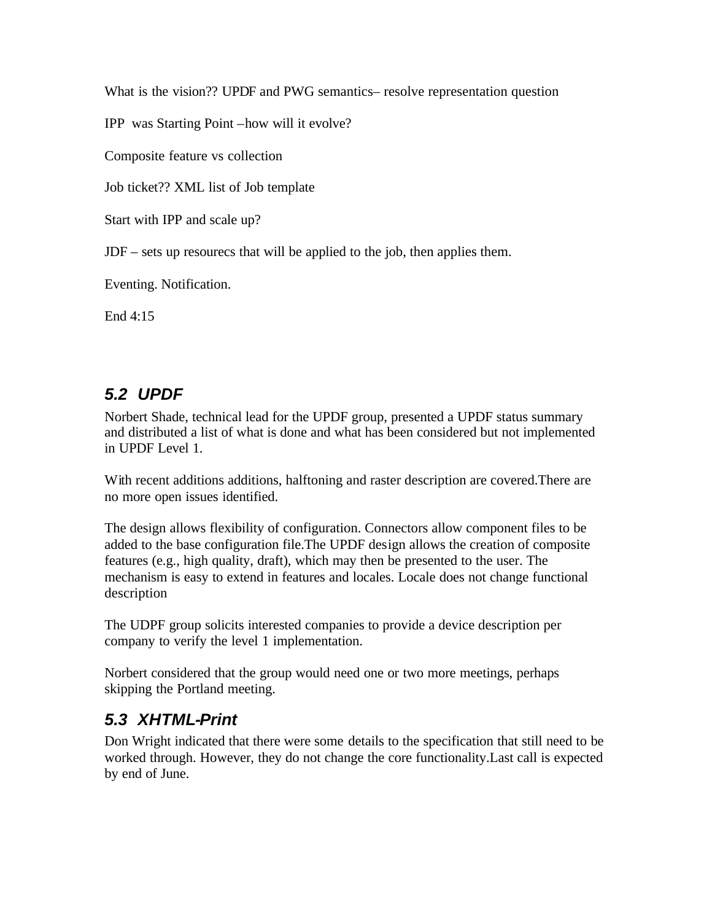What is the vision?? UPDF and PWG semantics– resolve representation question

IPP was Starting Point –how will it evolve?

Composite feature vs collection

Job ticket?? XML list of Job template

Start with IPP and scale up?

JDF – sets up resourecs that will be applied to the job, then applies them.

Eventing. Notification.

End 4:15

### *5.2 UPDF*

Norbert Shade, technical lead for the UPDF group, presented a UPDF status summary and distributed a list of what is done and what has been considered but not implemented in UPDF Level 1.

With recent additions additions, halftoning and raster description are covered.There are no more open issues identified.

The design allows flexibility of configuration. Connectors allow component files to be added to the base configuration file.The UPDF design allows the creation of composite features (e.g., high quality, draft), which may then be presented to the user. The mechanism is easy to extend in features and locales. Locale does not change functional description

The UDPF group solicits interested companies to provide a device description per company to verify the level 1 implementation.

Norbert considered that the group would need one or two more meetings, perhaps skipping the Portland meeting.

### *5.3 XHTML-Print*

Don Wright indicated that there were some details to the specification that still need to be worked through. However, they do not change the core functionality.Last call is expected by end of June.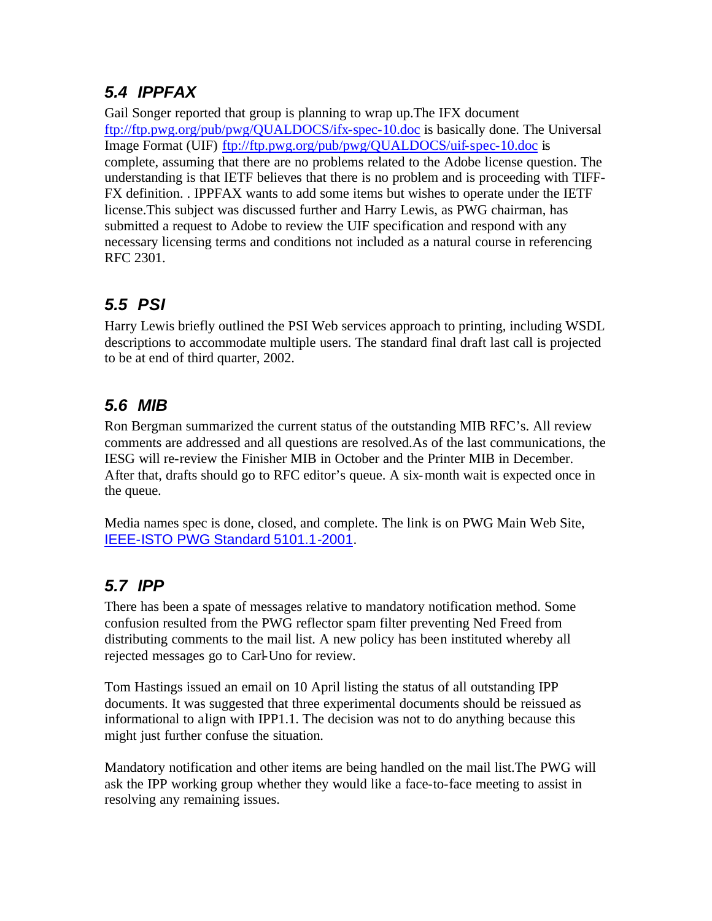# *5.4 IPPFAX*

Gail Songer reported that group is planning to wrap up.The IFX document ftp://ftp.pwg.org/pub/pwg/QUALDOCS/ifx-spec-10.doc is basically done. The Universal Image Format (UIF) ftp://ftp.pwg.org/pub/pwg/QUALDOCS/uif-spec-10.doc is complete, assuming that there are no problems related to the Adobe license question. The understanding is that IETF believes that there is no problem and is proceeding with TIFF-FX definition. . IPPFAX wants to add some items but wishes to operate under the IETF license.This subject was discussed further and Harry Lewis, as PWG chairman, has submitted a request to Adobe to review the UIF specification and respond with any necessary licensing terms and conditions not included as a natural course in referencing RFC 2301.

## *5.5 PSI*

Harry Lewis briefly outlined the PSI Web services approach to printing, including WSDL descriptions to accommodate multiple users. The standard final draft last call is projected to be at end of third quarter, 2002.

## *5.6 MIB*

Ron Bergman summarized the current status of the outstanding MIB RFC's. All review comments are addressed and all questions are resolved.As of the last communications, the IESG will re-review the Finisher MIB in October and the Printer MIB in December. After that, drafts should go to RFC editor's queue. A six-month wait is expected once in the queue.

Media names spec is done, closed, and complete. The link is on PWG Main Web Site, IEEE-ISTO PWG Standard 5101.1-2001.

# *5.7 IPP*

There has been a spate of messages relative to mandatory notification method. Some confusion resulted from the PWG reflector spam filter preventing Ned Freed from distributing comments to the mail list. A new policy has been instituted whereby all rejected messages go to Carl-Uno for review.

Tom Hastings issued an email on 10 April listing the status of all outstanding IPP documents. It was suggested that three experimental documents should be reissued as informational to align with IPP1.1. The decision was not to do anything because this might just further confuse the situation.

Mandatory notification and other items are being handled on the mail list.The PWG will ask the IPP working group whether they would like a face-to-face meeting to assist in resolving any remaining issues.